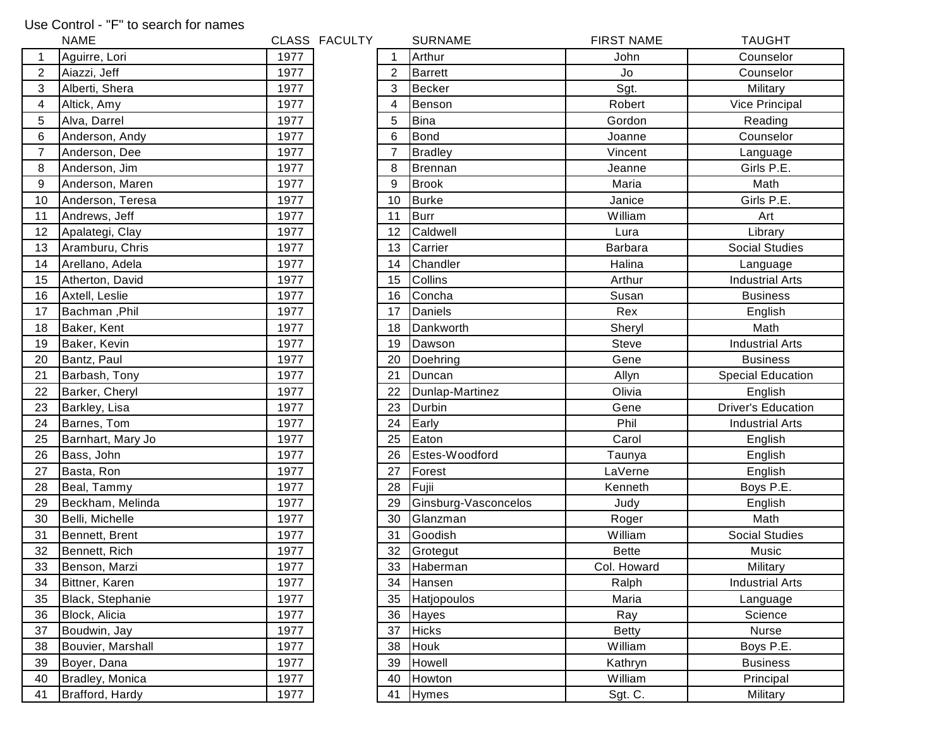## Use Control - "F" to search for names

|                | <b>NAME</b>       |      | CLASS FACULTY |                | <b>SURNAME</b>       | <b>FIRST NAME</b> | <b>TAUGHT</b>             |
|----------------|-------------------|------|---------------|----------------|----------------------|-------------------|---------------------------|
|                | Aguirre, Lori     | 1977 |               |                | Arthur               | John              | Counselor                 |
| $\overline{2}$ | Aiazzi, Jeff      | 1977 |               | $\overline{2}$ | <b>Barrett</b>       | Jo                | Counselor                 |
| 3              | Alberti, Shera    | 1977 |               | 3              | <b>Becker</b>        | Sgt.              | Military                  |
| 4              | Altick, Amy       | 1977 |               | 4              | Benson               | Robert            | Vice Principal            |
| 5              | Alva, Darrel      | 1977 |               | 5              | <b>Bina</b>          | Gordon            | Reading                   |
| 6              | Anderson, Andy    | 1977 |               | 6              | <b>Bond</b>          | Joanne            | Counselor                 |
| $\overline{7}$ | Anderson, Dee     | 1977 |               | $\overline{7}$ | <b>Bradley</b>       | Vincent           | Language                  |
| 8              | Anderson, Jim     | 1977 |               | 8              | Brennan              | Jeanne            | Girls P.E.                |
| 9              | Anderson, Maren   | 1977 |               | 9              | <b>Brook</b>         | Maria             | Math                      |
| 10             | Anderson, Teresa  | 1977 |               | 10             | Burke                | Janice            | Girls P.E.                |
| 11             | Andrews, Jeff     | 1977 |               | 11             | Burr                 | William           | Art                       |
| 12             | Apalategi, Clay   | 1977 |               | 12             | Caldwell             | Lura              | Library                   |
| 13             | Aramburu, Chris   | 1977 |               | 13             | Carrier              | <b>Barbara</b>    | <b>Social Studies</b>     |
| 14             | Arellano, Adela   | 1977 |               | 14             | Chandler             | Halina            | Language                  |
| 15             | Atherton, David   | 1977 |               | 15             | Collins              | Arthur            | <b>Industrial Arts</b>    |
| 16             | Axtell, Leslie    | 1977 |               | 16             | Concha               | Susan             | <b>Business</b>           |
| 17             | Bachman, Phil     | 1977 |               | 17             | Daniels              | Rex               | English                   |
| 18             | Baker, Kent       | 1977 |               | 18             | Dankworth            | Sheryl            | Math                      |
| 19             | Baker, Kevin      | 1977 |               | 19             | Dawson               | <b>Steve</b>      | <b>Industrial Arts</b>    |
| 20             | Bantz, Paul       | 1977 |               | 20             | Doehring             | Gene              | <b>Business</b>           |
| 21             | Barbash, Tony     | 1977 |               | 21             | Duncan               | Allyn             | <b>Special Education</b>  |
| 22             | Barker, Cheryl    | 1977 |               | 22             | Dunlap-Martinez      | Olivia            | English                   |
| 23             | Barkley, Lisa     | 1977 |               | 23             | Durbin               | Gene              | <b>Driver's Education</b> |
| 24             | Barnes, Tom       | 1977 |               | 24             | Early                | Phil              | <b>Industrial Arts</b>    |
| 25             | Barnhart, Mary Jo | 1977 |               | 25             | Eaton                | Carol             | English                   |
| 26             | Bass, John        | 1977 |               | 26             | Estes-Woodford       | Taunya            | English                   |
| 27             | Basta, Ron        | 1977 |               | 27             | Forest               | LaVerne           | English                   |
| 28             | Beal, Tammy       | 1977 |               | 28             | Fujii                | Kenneth           | Boys P.E.                 |
| 29             | Beckham, Melinda  | 1977 |               | 29             | Ginsburg-Vasconcelos | Judy              | English                   |
| 30             | Belli, Michelle   | 1977 |               | 30             | Glanzman             | Roger             | Math                      |
| 31             | Bennett, Brent    | 1977 |               | 31             | Goodish              | William           | <b>Social Studies</b>     |
| 32             | Bennett, Rich     | 1977 |               | 32             | Grotegut             | <b>Bette</b>      | Music                     |
| 33             | Benson, Marzi     | 1977 |               | 33             | Haberman             | Col. Howard       | Military                  |
| 34             | Bittner, Karen    | 1977 |               | 34             | Hansen               | Ralph             | <b>Industrial Arts</b>    |
| 35             | Black, Stephanie  | 1977 |               | 35             | Hatjopoulos          | Maria             | Language                  |
| 36             | Block, Alicia     | 1977 |               | 36             | Hayes                | Ray               | Science                   |
| 37             | Boudwin, Jay      | 1977 |               | 37             | <b>Hicks</b>         | <b>Betty</b>      | Nurse                     |
| 38             | Bouvier, Marshall | 1977 |               | 38             | Houk                 | William           | Boys P.E.                 |
| 39             | Boyer, Dana       | 1977 |               | 39             | Howell               | Kathryn           | <b>Business</b>           |
| 40             | Bradley, Monica   | 1977 |               | 40             | Howton               | William           | Principal                 |
| 41             | Brafford, Hardy   | 1977 |               | 41             | Hymes                | Sgt. C.           | Military                  |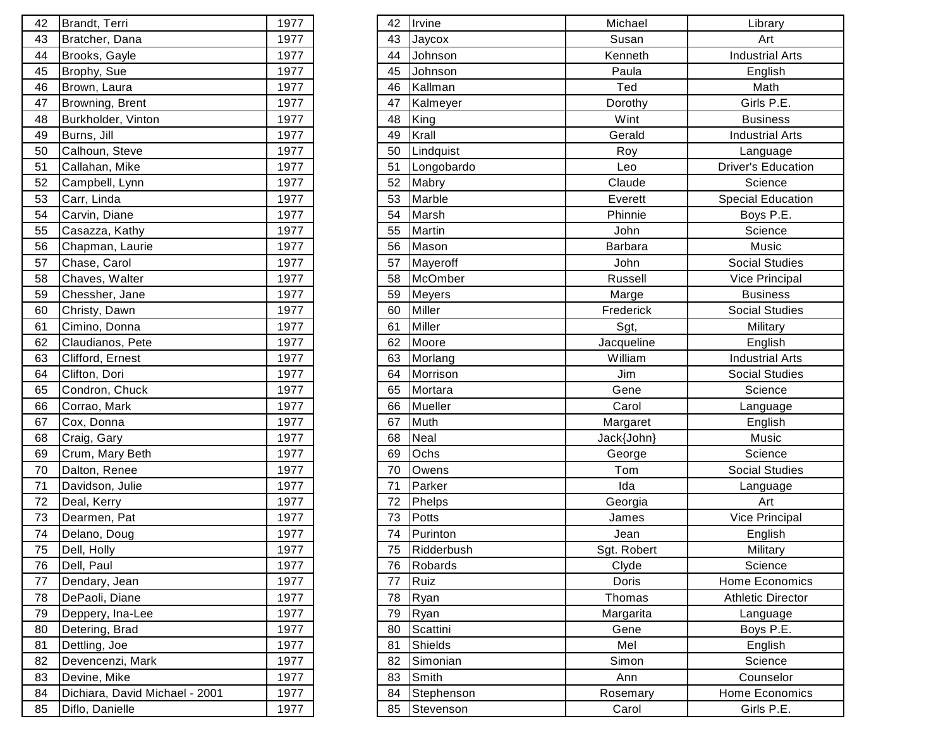| 42 | Brandt, Terri                  | 1977 |
|----|--------------------------------|------|
| 43 | Bratcher, Dana                 | 1977 |
| 44 | Brooks, Gayle                  | 1977 |
| 45 | Brophy, Sue                    | 1977 |
| 46 | Brown, Laura                   | 1977 |
| 47 | Browning, Brent                | 1977 |
| 48 | Burkholder, Vinton             | 1977 |
| 49 | Burns, Jill                    | 1977 |
| 50 | Calhoun, Steve                 | 1977 |
| 51 | Callahan, Mike                 | 1977 |
| 52 | Campbell, Lynn                 | 1977 |
| 53 | Carr, Linda                    | 1977 |
| 54 | Carvin, Diane                  | 1977 |
| 55 | Casazza, Kathy                 | 1977 |
| 56 | Chapman, Laurie                | 1977 |
| 57 | Chase, Carol                   | 1977 |
| 58 | Chaves, Walter                 | 1977 |
| 59 | Chessher, Jane                 | 1977 |
| 60 | Christy, Dawn                  | 1977 |
| 61 | Cimino, Donna                  | 1977 |
| 62 | Claudianos, Pete               | 1977 |
| 63 | Clifford, Ernest               | 1977 |
| 64 | Clifton, Dori                  | 1977 |
| 65 | Condron, Chuck                 | 1977 |
| 66 | Corrao, Mark                   | 1977 |
| 67 | Cox, Donna                     | 1977 |
| 68 | Craig, Gary                    | 1977 |
| 69 | Crum, Mary Beth                | 1977 |
| 70 | Dalton, Renee                  | 1977 |
| 71 | Davidson, Julie                | 1977 |
| 72 | Deal, Kerry                    | 1977 |
| 73 | Dearmen, Pat                   | 1977 |
| 74 | Delano, Doug                   | 1977 |
| 75 | Dell, Holly                    | 1977 |
| 76 | Dell, Paul                     | 1977 |
| 77 | Dendary, Jean                  | 1977 |
| 78 | DePaoli, Diane                 | 1977 |
| 79 | Deppery, Ina-Lee               | 1977 |
| 80 | Detering, Brad                 | 1977 |
| 81 | Dettling, Joe                  | 1977 |
| 82 | Devencenzi, Mark               | 1977 |
| 83 | Devine, Mike                   | 1977 |
| 84 | Dichiara, David Michael - 2001 | 1977 |
| 85 | Diflo, Danielle                | 1977 |

| Brandt, Terri                  | 1977                                         |  | Irvine                                                                                                                                                                                                                                                               | Michael                                                                                                                                                                                                                                                                                                                                                                                                                      | Library                   |
|--------------------------------|----------------------------------------------|--|----------------------------------------------------------------------------------------------------------------------------------------------------------------------------------------------------------------------------------------------------------------------|------------------------------------------------------------------------------------------------------------------------------------------------------------------------------------------------------------------------------------------------------------------------------------------------------------------------------------------------------------------------------------------------------------------------------|---------------------------|
|                                | 1977                                         |  |                                                                                                                                                                                                                                                                      | Susan                                                                                                                                                                                                                                                                                                                                                                                                                        | Art                       |
| Brooks, Gayle                  | 1977                                         |  |                                                                                                                                                                                                                                                                      | Kenneth                                                                                                                                                                                                                                                                                                                                                                                                                      | <b>Industrial Arts</b>    |
| Brophy, Sue                    | 1977                                         |  | Johnson                                                                                                                                                                                                                                                              | Paula                                                                                                                                                                                                                                                                                                                                                                                                                        | English                   |
| Brown, Laura                   | 1977                                         |  |                                                                                                                                                                                                                                                                      | Ted                                                                                                                                                                                                                                                                                                                                                                                                                          | Math                      |
| Browning, Brent                | 1977                                         |  |                                                                                                                                                                                                                                                                      | Dorothy                                                                                                                                                                                                                                                                                                                                                                                                                      | Girls P.E.                |
| Burkholder, Vinton             | 1977                                         |  |                                                                                                                                                                                                                                                                      | Wint                                                                                                                                                                                                                                                                                                                                                                                                                         | <b>Business</b>           |
| Burns, Jill                    | 1977                                         |  |                                                                                                                                                                                                                                                                      | Gerald                                                                                                                                                                                                                                                                                                                                                                                                                       | <b>Industrial Arts</b>    |
| Calhoun, Steve                 | 1977                                         |  | Lindquist                                                                                                                                                                                                                                                            | Roy                                                                                                                                                                                                                                                                                                                                                                                                                          | Language                  |
| Callahan, Mike                 | 1977                                         |  | Longobardo                                                                                                                                                                                                                                                           | Leo                                                                                                                                                                                                                                                                                                                                                                                                                          | <b>Driver's Education</b> |
| Campbell, Lynn                 | 1977                                         |  |                                                                                                                                                                                                                                                                      | Claude                                                                                                                                                                                                                                                                                                                                                                                                                       | Science                   |
| Carr, Linda                    | 1977                                         |  |                                                                                                                                                                                                                                                                      | Everett                                                                                                                                                                                                                                                                                                                                                                                                                      | <b>Special Education</b>  |
| Carvin, Diane                  | 1977                                         |  |                                                                                                                                                                                                                                                                      | Phinnie                                                                                                                                                                                                                                                                                                                                                                                                                      | Boys P.E.                 |
| Casazza, Kathy                 | 1977                                         |  |                                                                                                                                                                                                                                                                      | John                                                                                                                                                                                                                                                                                                                                                                                                                         | Science                   |
| Chapman, Laurie                | 1977                                         |  |                                                                                                                                                                                                                                                                      | Barbara                                                                                                                                                                                                                                                                                                                                                                                                                      | Music                     |
| Chase, Carol                   | 1977                                         |  |                                                                                                                                                                                                                                                                      | John                                                                                                                                                                                                                                                                                                                                                                                                                         | <b>Social Studies</b>     |
| Chaves, Walter                 | 1977                                         |  |                                                                                                                                                                                                                                                                      | Russell                                                                                                                                                                                                                                                                                                                                                                                                                      | Vice Principal            |
| Chessher, Jane                 | 1977                                         |  |                                                                                                                                                                                                                                                                      | Marge                                                                                                                                                                                                                                                                                                                                                                                                                        | <b>Business</b>           |
| Christy, Dawn                  | 1977                                         |  |                                                                                                                                                                                                                                                                      | Frederick                                                                                                                                                                                                                                                                                                                                                                                                                    | <b>Social Studies</b>     |
| Cimino, Donna                  | 1977                                         |  |                                                                                                                                                                                                                                                                      | Sgt,                                                                                                                                                                                                                                                                                                                                                                                                                         | Military                  |
| Claudianos, Pete               | 1977                                         |  |                                                                                                                                                                                                                                                                      | Jacqueline                                                                                                                                                                                                                                                                                                                                                                                                                   | English                   |
| Clifford, Ernest               | 1977                                         |  |                                                                                                                                                                                                                                                                      | William                                                                                                                                                                                                                                                                                                                                                                                                                      | <b>Industrial Arts</b>    |
| Clifton, Dori                  | 1977                                         |  |                                                                                                                                                                                                                                                                      | Jim                                                                                                                                                                                                                                                                                                                                                                                                                          | <b>Social Studies</b>     |
| Condron, Chuck                 | 1977                                         |  |                                                                                                                                                                                                                                                                      | Gene                                                                                                                                                                                                                                                                                                                                                                                                                         | Science                   |
| Corrao, Mark                   | 1977                                         |  |                                                                                                                                                                                                                                                                      | Carol                                                                                                                                                                                                                                                                                                                                                                                                                        | Language                  |
| Cox, Donna                     | 1977                                         |  |                                                                                                                                                                                                                                                                      | Margaret                                                                                                                                                                                                                                                                                                                                                                                                                     | English                   |
|                                | 1977                                         |  |                                                                                                                                                                                                                                                                      | Jack{John}                                                                                                                                                                                                                                                                                                                                                                                                                   | Music                     |
| Crum, Mary Beth                | 1977                                         |  |                                                                                                                                                                                                                                                                      | George                                                                                                                                                                                                                                                                                                                                                                                                                       | Science                   |
| Dalton, Renee                  | 1977                                         |  |                                                                                                                                                                                                                                                                      | Tom                                                                                                                                                                                                                                                                                                                                                                                                                          | <b>Social Studies</b>     |
| Davidson, Julie                | 1977                                         |  |                                                                                                                                                                                                                                                                      | Ida                                                                                                                                                                                                                                                                                                                                                                                                                          | Language                  |
| Deal, Kerry                    | 1977                                         |  |                                                                                                                                                                                                                                                                      | Georgia                                                                                                                                                                                                                                                                                                                                                                                                                      | Art                       |
| Dearmen, Pat                   | 1977                                         |  |                                                                                                                                                                                                                                                                      | James                                                                                                                                                                                                                                                                                                                                                                                                                        | Vice Principal            |
| Delano, Doug                   | 1977                                         |  |                                                                                                                                                                                                                                                                      | Jean                                                                                                                                                                                                                                                                                                                                                                                                                         | English                   |
|                                | 1977                                         |  |                                                                                                                                                                                                                                                                      | Sgt. Robert                                                                                                                                                                                                                                                                                                                                                                                                                  | Military                  |
| Dell, Paul                     | 1977                                         |  |                                                                                                                                                                                                                                                                      | Clyde                                                                                                                                                                                                                                                                                                                                                                                                                        | Science                   |
| Dendary, Jean                  | 1977                                         |  |                                                                                                                                                                                                                                                                      | Doris                                                                                                                                                                                                                                                                                                                                                                                                                        | Home Economics            |
| DePaoli, Diane                 | 1977                                         |  |                                                                                                                                                                                                                                                                      | Thomas                                                                                                                                                                                                                                                                                                                                                                                                                       | <b>Athletic Director</b>  |
| Deppery, Ina-Lee               | 1977                                         |  |                                                                                                                                                                                                                                                                      | Margarita                                                                                                                                                                                                                                                                                                                                                                                                                    | Language                  |
| Detering, Brad                 | 1977                                         |  |                                                                                                                                                                                                                                                                      | Gene                                                                                                                                                                                                                                                                                                                                                                                                                         | Boys P.E.                 |
| Dettling, Joe                  | 1977                                         |  |                                                                                                                                                                                                                                                                      | Mel                                                                                                                                                                                                                                                                                                                                                                                                                          | English                   |
| Devencenzi, Mark               | 1977                                         |  |                                                                                                                                                                                                                                                                      | Simon                                                                                                                                                                                                                                                                                                                                                                                                                        | Science                   |
| Devine, Mike                   | 1977                                         |  |                                                                                                                                                                                                                                                                      | Ann                                                                                                                                                                                                                                                                                                                                                                                                                          | Counselor                 |
| Dichiara, David Michael - 2001 | 1977                                         |  |                                                                                                                                                                                                                                                                      | Rosemary                                                                                                                                                                                                                                                                                                                                                                                                                     | Home Economics            |
| Diflo, Danielle                | 1977                                         |  |                                                                                                                                                                                                                                                                      | Carol                                                                                                                                                                                                                                                                                                                                                                                                                        | Girls P.E.                |
|                                | Bratcher, Dana<br>Craig, Gary<br>Dell, Holly |  | 42<br>43<br>44<br>45<br>46<br>47<br>48<br>49<br>50<br>51<br>52<br>53<br>54<br>55<br>56<br>57<br>58<br>59<br>60<br>61<br>62<br>63<br>64<br>65<br>66<br>67<br>68<br>69<br>70<br>71<br>72<br>73<br>74<br>75<br>76<br>77<br>78<br>79<br>80<br>81<br>82<br>83<br>84<br>85 | Jaycox<br>Johnson<br>Kallman<br>Kalmeyer<br>King<br>Krall<br>Mabry<br>Marble<br>Marsh<br>Martin<br>Mason<br>Mayeroff<br>McOmber<br>Meyers<br>Miller<br>Miller<br>Moore<br>Morlang<br>Morrison<br>Mortara<br>Mueller<br>Muth<br>Neal<br>Ochs<br>Owens<br>Parker<br>Phelps<br>Potts<br>Purinton<br>Ridderbush<br>Robards<br>Ruiz<br>Ryan<br>Ryan<br>Scattini<br><b>Shields</b><br>Simonian<br>Smith<br>Stephenson<br>Stevenson |                           |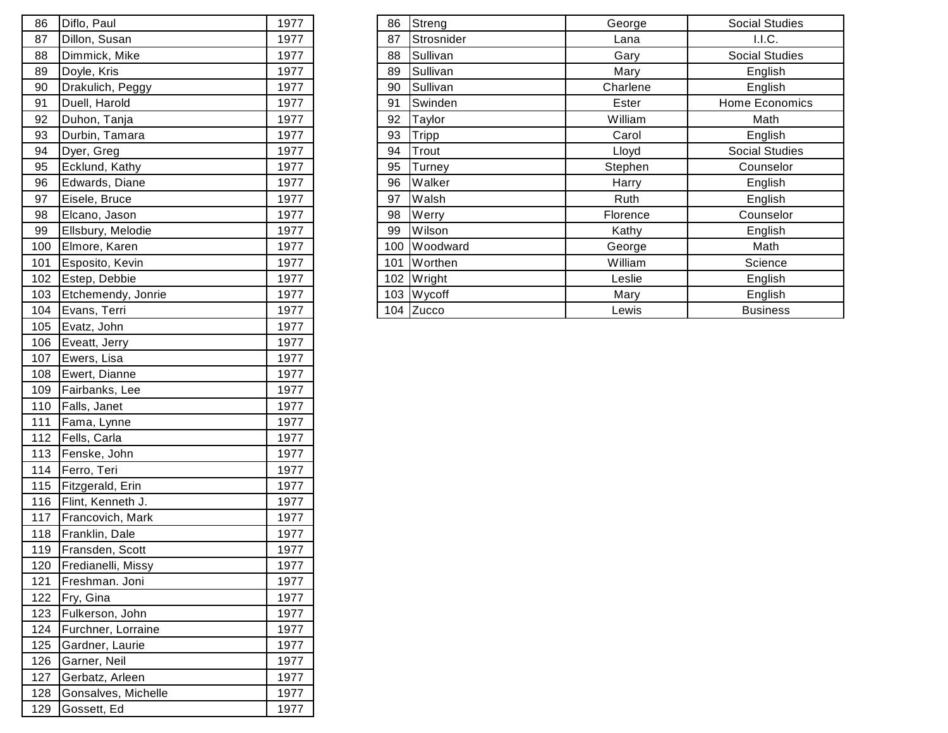| 86  | Diflo, Paul         | 1977 |
|-----|---------------------|------|
| 87  | Dillon, Susan       | 1977 |
| 88  | Dimmick, Mike       | 1977 |
| 89  | Doyle, Kris         | 1977 |
| 90  | Drakulich, Peggy    | 1977 |
| 91  | Duell, Harold       | 1977 |
| 92  | Duhon, Tanja        | 1977 |
| 93  | Durbin, Tamara      | 1977 |
| 94  | Dyer, Greg          | 1977 |
| 95  | Ecklund, Kathy      | 1977 |
| 96  | Edwards, Diane      | 1977 |
| 97  | Eisele, Bruce       | 1977 |
| 98  | Elcano, Jason       | 1977 |
| 99  | Ellsbury, Melodie   | 1977 |
| 100 | Elmore, Karen       | 1977 |
| 101 | Esposito, Kevin     | 1977 |
| 102 | Estep, Debbie       | 1977 |
| 103 | Etchemendy, Jonrie  | 1977 |
| 104 | Evans, Terri        | 1977 |
| 105 | Evatz, John         | 1977 |
| 106 | Eveatt, Jerry       | 1977 |
| 107 | Ewers, Lisa         | 1977 |
| 108 | Ewert, Dianne       | 1977 |
| 109 | Fairbanks, Lee      | 1977 |
| 110 | Falls, Janet        | 1977 |
| 111 | Fama, Lynne         | 1977 |
| 112 | Fells, Carla        | 1977 |
| 113 | Fenske, John        | 1977 |
| 114 | Ferro, Teri         | 1977 |
| 115 | Fitzgerald, Erin    | 1977 |
| 116 | Flint, Kenneth J.   | 1977 |
| 117 | Francovich, Mark    | 1977 |
| 118 | Franklin, Dale      | 1977 |
| 119 | Fransden, Scott     | 1977 |
| 120 | Fredianelli, Missy  | 1977 |
| 121 | Freshman. Joni      | 1977 |
| 122 | Fry, Gina           | 1977 |
| 123 | Fulkerson, John     | 1977 |
| 124 | Furchner, Lorraine  | 1977 |
| 125 | Gardner, Laurie     | 1977 |
| 126 | Garner, Neil        | 1977 |
| 127 | Gerbatz, Arleen     | 1977 |
| 128 | Gonsalves, Michelle | 1977 |
| 129 | Gossett, Ed         | 1977 |

| 86  | Diflo, Paul            | 1977 | 86  | Streng        | George   | <b>Social Studies</b> |
|-----|------------------------|------|-----|---------------|----------|-----------------------|
| 87  | Dillon, Susan          | 1977 | 87  | Strosnider    | Lana     | I.I.C.                |
| 88  | Dimmick, Mike          | 1977 | 88  | Sullivan      | Gary     | <b>Social Studies</b> |
| 89  | Doyle, Kris            | 1977 | 89  | Sullivan      | Mary     | English               |
| 90  | Drakulich, Peggy       | 1977 | 90  | Sullivan      | Charlene | English               |
| 91  | Duell, Harold          | 1977 | 91  | Swinden       | Ester    | Home Economics        |
| 92  | Duhon, Tanja           | 1977 | 92  | Taylor        | William  | Math                  |
| 93  | Durbin, Tamara         | 1977 | 93  | Tripp         | Carol    | English               |
| 94  | Dyer, Greg             | 1977 | 94  | Trout         | Lloyd    | <b>Social Studies</b> |
| 95  | Ecklund, Kathy         | 1977 | 95  | Turney        | Stephen  | Counselor             |
| 96  | Edwards, Diane         | 1977 | 96  | Walker        | Harry    | English               |
| 97  | Eisele, Bruce          | 1977 | 97  | Walsh         | Ruth     | English               |
| 98  | Elcano, Jason          | 1977 | 98  | Werry         | Florence | Counselor             |
| 99  | Ellsbury, Melodie      | 1977 | 99  | <b>Wilson</b> | Kathy    | English               |
| 100 | Elmore, Karen          | 1977 | 100 | Woodward      | George   | Math                  |
| 101 | Esposito, Kevin        | 1977 | 101 | Worthen       | William  | Science               |
|     | 102 Estep, Debbie      | 1977 |     | 102 Wright    | Leslie   | English               |
|     | 103 Etchemendy, Jonrie | 1977 |     | $103$ Wycoff  | Mary     | English               |
|     | 104 Evans, Terri       | 1977 |     | 104 Zucco     | Lewis    | <b>Business</b>       |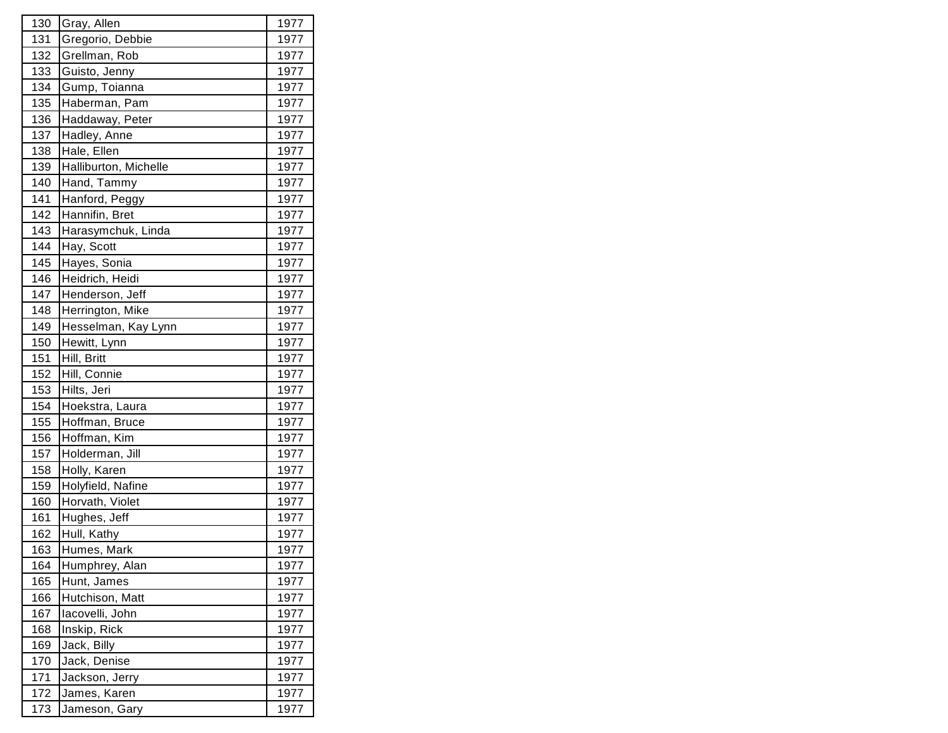| 130 | Gray, Allen           | 1977 |
|-----|-----------------------|------|
| 131 | Gregorio, Debbie      | 1977 |
| 132 | Grellman, Rob         | 1977 |
| 133 | Guisto, Jenny         | 1977 |
| 134 | Gump, Toianna         | 1977 |
| 135 | Haberman, Pam         | 1977 |
| 136 | Haddaway, Peter       | 1977 |
| 137 | Hadley, Anne          | 1977 |
| 138 | Hale, Ellen           | 1977 |
| 139 | Halliburton, Michelle | 1977 |
| 140 | Hand, Tammy           | 1977 |
| 141 | Hanford, Peggy        | 1977 |
| 142 | Hannifin, Bret        | 1977 |
| 143 | Harasymchuk, Linda    | 1977 |
| 144 | Hay, Scott            | 1977 |
| 145 | Hayes, Sonia          | 1977 |
| 146 | Heidrich, Heidi       | 1977 |
| 147 | Henderson, Jeff       | 1977 |
| 148 | Herrington, Mike      | 1977 |
| 149 | Hesselman, Kay Lynn   | 1977 |
| 150 | Hewitt, Lynn          | 1977 |
| 151 | Hill, Britt           | 1977 |
| 152 | Hill, Connie          | 1977 |
| 153 | Hilts, Jeri           | 1977 |
| 154 | Hoekstra, Laura       | 1977 |
| 155 | Hoffman, Bruce        | 1977 |
| 156 | Hoffman, Kim          | 1977 |
| 157 | Holderman, Jill       | 1977 |
| 158 | Holly, Karen          | 1977 |
| 159 | Holyfield, Nafine     | 1977 |
| 160 | Horvath, Violet       | 1977 |
| 161 | Hughes, Jeff          | 1977 |
| 162 | Hull, Kathy           | 1977 |
| 163 | Humes, Mark           | 1977 |
| 164 | Humphrey, Alan        | 1977 |
| 165 | Hunt, James           | 1977 |
| 166 | Hutchison, Matt       | 1977 |
| 167 | lacovelli, John       | 1977 |
| 168 | Inskip, Rick          | 1977 |
| 169 | Jack, Billy           | 1977 |
| 170 | Jack, Denise          | 1977 |
| 171 | Jackson, Jerry        | 1977 |
| 172 | James, Karen          | 1977 |
| 173 | Jameson, Gary         | 1977 |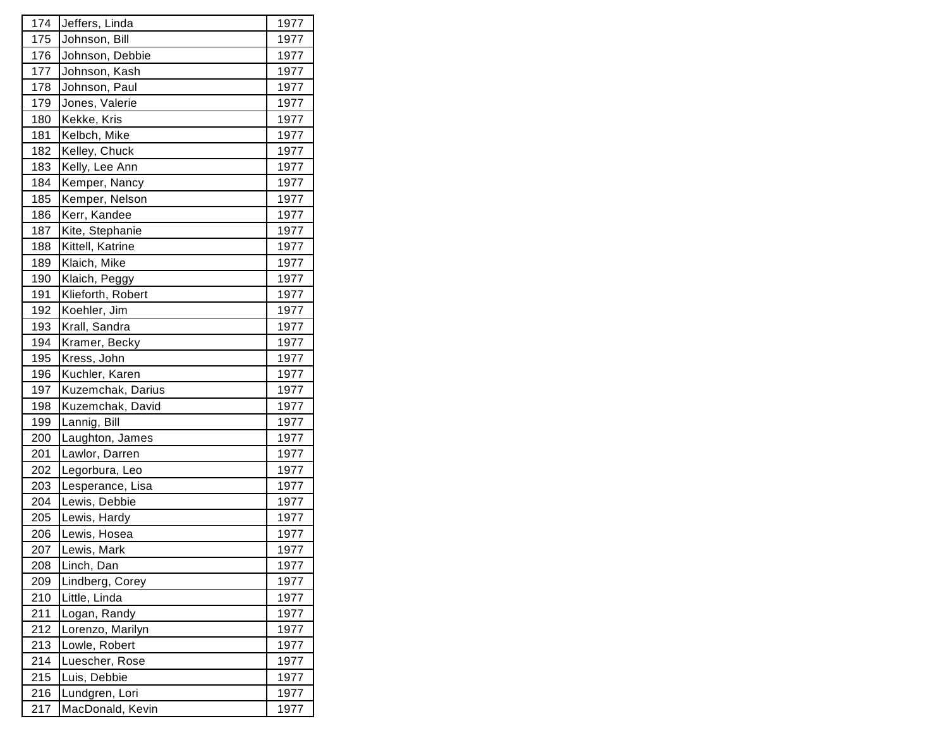| 174 | Jeffers, Linda    | 1977 |
|-----|-------------------|------|
| 175 | Johnson, Bill     | 1977 |
| 176 | Johnson, Debbie   | 1977 |
| 177 | Johnson, Kash     | 1977 |
| 178 | Johnson, Paul     | 1977 |
| 179 | Jones, Valerie    | 1977 |
| 180 | Kekke, Kris       | 1977 |
| 181 | Kelbch, Mike      | 1977 |
| 182 | Kelley, Chuck     | 1977 |
| 183 | Kelly, Lee Ann    | 1977 |
| 184 | Kemper, Nancy     | 1977 |
| 185 | Kemper, Nelson    | 1977 |
| 186 | Kerr, Kandee      | 1977 |
| 187 | Kite, Stephanie   | 1977 |
| 188 | Kittell, Katrine  | 1977 |
| 189 | Klaich, Mike      | 1977 |
| 190 | Klaich, Peggy     | 1977 |
| 191 | Klieforth, Robert | 1977 |
| 192 | Koehler, Jim      | 1977 |
| 193 | Krall, Sandra     | 1977 |
| 194 | Kramer, Becky     | 1977 |
| 195 | Kress, John       | 1977 |
| 196 | Kuchler, Karen    | 1977 |
| 197 | Kuzemchak, Darius | 1977 |
| 198 | Kuzemchak, David  | 1977 |
| 199 | Lannig, Bill      | 1977 |
| 200 | Laughton, James   | 1977 |
| 201 | Lawlor, Darren    | 1977 |
| 202 | Legorbura, Leo    | 1977 |
| 203 | Lesperance, Lisa  | 1977 |
| 204 | Lewis, Debbie     | 1977 |
| 205 | Lewis, Hardy      | 1977 |
| 206 | Lewis, Hosea      | 1977 |
| 207 | Lewis, Mark       | 1977 |
| 208 | Linch, Dan        | 1977 |
| 209 | Lindberg, Corey   | 1977 |
| 210 | Little, Linda     | 1977 |
| 211 | Logan, Randy      | 1977 |
| 212 | Lorenzo, Marilyn  | 1977 |
| 213 | Lowle, Robert     | 1977 |
| 214 | Luescher, Rose    | 1977 |
| 215 | Luis, Debbie      | 1977 |
| 216 | Lundgren, Lori    | 1977 |
| 217 | MacDonald, Kevin  | 1977 |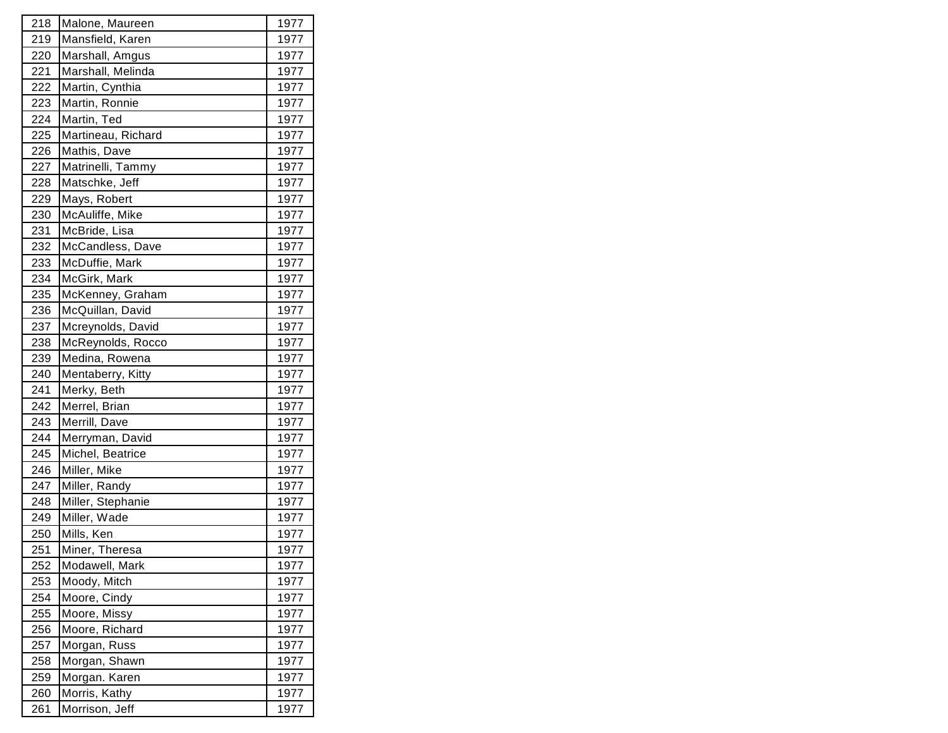| 218 | Malone, Maureen    | 1977 |
|-----|--------------------|------|
| 219 | Mansfield, Karen   | 1977 |
| 220 | Marshall, Amgus    | 1977 |
| 221 | Marshall, Melinda  | 1977 |
| 222 | Martin, Cynthia    | 1977 |
| 223 | Martin, Ronnie     | 1977 |
| 224 | Martin, Ted        | 1977 |
| 225 | Martineau, Richard | 1977 |
| 226 | Mathis, Dave       | 1977 |
| 227 | Matrinelli, Tammy  | 1977 |
| 228 | Matschke, Jeff     | 1977 |
| 229 | Mays, Robert       | 1977 |
| 230 | McAuliffe, Mike    | 1977 |
| 231 | McBride, Lisa      | 1977 |
| 232 | McCandless, Dave   | 1977 |
| 233 | McDuffie, Mark     | 1977 |
| 234 | McGirk, Mark       | 1977 |
| 235 | McKenney, Graham   | 1977 |
| 236 | McQuillan, David   | 1977 |
| 237 | Mcreynolds, David  | 1977 |
| 238 | McReynolds, Rocco  | 1977 |
| 239 | Medina, Rowena     | 1977 |
| 240 | Mentaberry, Kitty  | 1977 |
| 241 | Merky, Beth        | 1977 |
| 242 | Merrel, Brian      | 1977 |
| 243 | Merrill, Dave      | 1977 |
| 244 | Merryman, David    | 1977 |
| 245 | Michel, Beatrice   | 1977 |
| 246 | Miller, Mike       | 1977 |
| 247 | Miller, Randy      | 1977 |
| 248 | Miller, Stephanie  | 1977 |
| 249 | Miller, Wade       | 1977 |
| 250 | Mills, Ken         | 1977 |
| 251 | Miner, Theresa     | 1977 |
| 252 | Modawell, Mark     | 1977 |
| 253 | Moody, Mitch       | 1977 |
| 254 | Moore, Cindy       | 1977 |
| 255 | Moore, Missy       | 1977 |
| 256 | Moore, Richard     | 1977 |
| 257 | Morgan, Russ       | 1977 |
| 258 | Morgan, Shawn      | 1977 |
| 259 | Morgan. Karen      | 1977 |
| 260 | Morris, Kathy      | 1977 |
| 261 | Morrison, Jeff     | 1977 |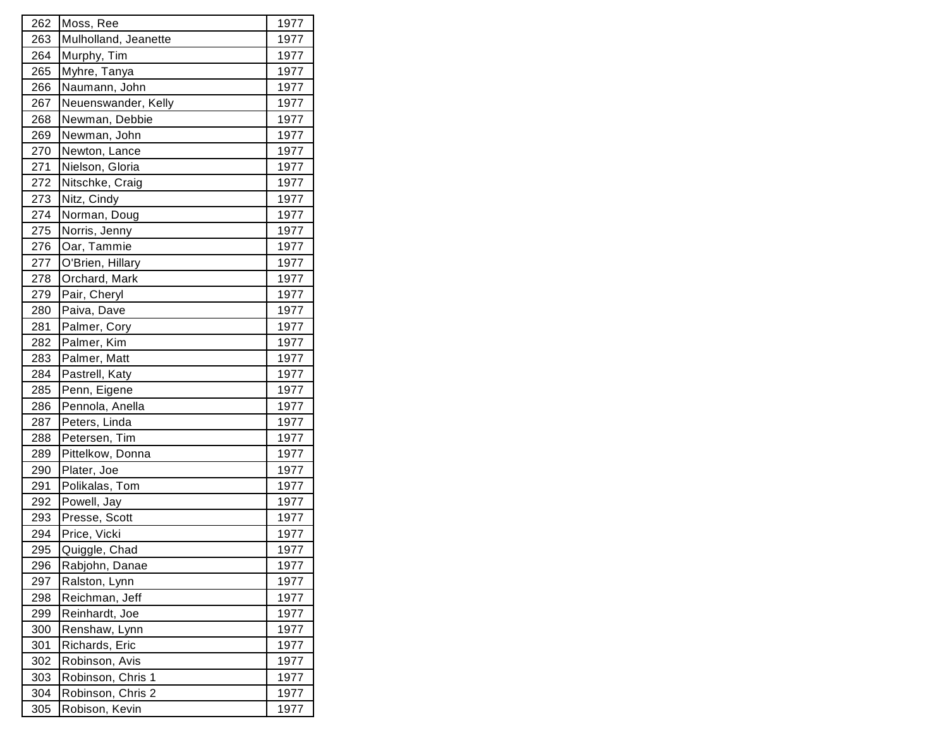| 262 | Moss, Ree            | 1977 |
|-----|----------------------|------|
| 263 | Mulholland, Jeanette | 1977 |
| 264 | Murphy, Tim          | 1977 |
| 265 | Myhre, Tanya         | 1977 |
| 266 | Naumann, John        | 1977 |
| 267 | Neuenswander, Kelly  | 1977 |
| 268 | Newman, Debbie       | 1977 |
| 269 | Newman, John         | 1977 |
| 270 | Newton, Lance        | 1977 |
| 271 | Nielson, Gloria      | 1977 |
| 272 | Nitschke, Craig      | 1977 |
| 273 | Nitz, Cindy          | 1977 |
| 274 | Norman, Doug         | 1977 |
| 275 | Norris, Jenny        | 1977 |
| 276 | Oar, Tammie          | 1977 |
| 277 | O'Brien, Hillary     | 1977 |
| 278 | Orchard, Mark        | 1977 |
| 279 | Pair, Cheryl         | 1977 |
| 280 | Paiva, Dave          | 1977 |
| 281 | Palmer, Cory         | 1977 |
| 282 | Palmer, Kim          | 1977 |
| 283 | Palmer, Matt         | 1977 |
| 284 | Pastrell, Katy       | 1977 |
| 285 | Penn, Eigene         | 1977 |
| 286 | Pennola, Anella      | 1977 |
| 287 | Peters, Linda        | 1977 |
| 288 | Petersen, Tim        | 1977 |
| 289 | Pittelkow, Donna     | 1977 |
| 290 | Plater, Joe          | 1977 |
| 291 | Polikalas, Tom       | 1977 |
| 292 | Powell, Jay          | 1977 |
| 293 | Presse, Scott        | 1977 |
| 294 | Price, Vicki         | 1977 |
| 295 | Quiggle, Chad        | 1977 |
| 296 | Rabjohn, Danae       | 1977 |
| 297 | Ralston, Lynn        | 1977 |
| 298 | Reichman, Jeff       | 1977 |
| 299 | Reinhardt, Joe       | 1977 |
| 300 | Renshaw, Lynn        | 1977 |
| 301 | Richards, Eric       | 1977 |
| 302 | Robinson, Avis       | 1977 |
| 303 | Robinson, Chris 1    | 1977 |
| 304 | Robinson, Chris 2    | 1977 |
| 305 | Robison, Kevin       | 1977 |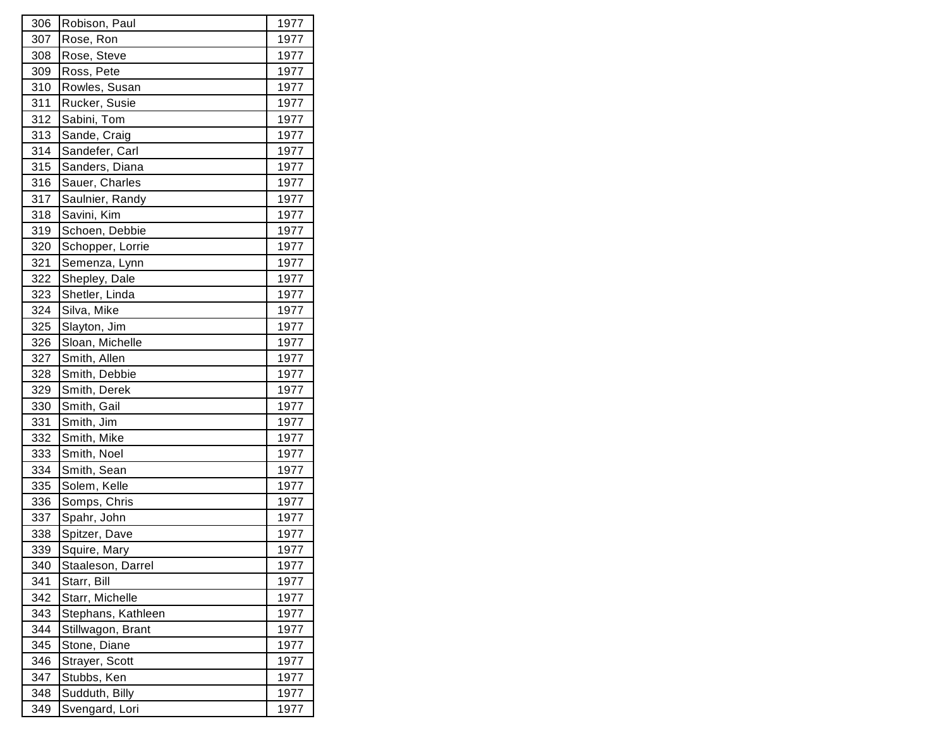| 306 | Robison, Paul      | 1977 |
|-----|--------------------|------|
| 307 | Rose, Ron          | 1977 |
| 308 | Rose, Steve        | 1977 |
| 309 | Ross, Pete         | 1977 |
| 310 | Rowles, Susan      | 1977 |
| 311 | Rucker, Susie      | 1977 |
| 312 | Sabini, Tom        | 1977 |
| 313 | Sande, Craig       | 1977 |
| 314 | Sandefer, Carl     | 1977 |
| 315 | Sanders, Diana     | 1977 |
| 316 | Sauer, Charles     | 1977 |
| 317 | Saulnier, Randy    | 1977 |
| 318 | Savini, Kim        | 1977 |
| 319 | Schoen, Debbie     | 1977 |
| 320 | Schopper, Lorrie   | 1977 |
| 321 | Semenza, Lynn      | 1977 |
| 322 | Shepley, Dale      | 1977 |
| 323 | Shetler, Linda     | 1977 |
| 324 | Silva, Mike        | 1977 |
| 325 | Slayton, Jim       | 1977 |
| 326 | Sloan, Michelle    | 1977 |
| 327 | Smith, Allen       | 1977 |
| 328 | Smith, Debbie      | 1977 |
| 329 | Smith, Derek       | 1977 |
| 330 | Smith, Gail        | 1977 |
| 331 | Smith, Jim         | 1977 |
| 332 | Smith, Mike        | 1977 |
| 333 | Smith, Noel        | 1977 |
| 334 | Smith, Sean        | 1977 |
| 335 | Solem, Kelle       | 1977 |
| 336 | Somps, Chris       | 1977 |
| 337 | Spahr, John        | 1977 |
| 338 | Spitzer, Dave      | 1977 |
| 339 | Squire, Mary       | 1977 |
| 340 | Staaleson, Darrel  | 1977 |
| 341 | Starr, Bill        | 1977 |
| 342 | Starr, Michelle    | 1977 |
| 343 | Stephans, Kathleen | 1977 |
| 344 | Stillwagon, Brant  | 1977 |
| 345 | Stone, Diane       | 1977 |
| 346 | Strayer, Scott     | 1977 |
| 347 | Stubbs, Ken        | 1977 |
| 348 | Sudduth, Billy     | 1977 |
| 349 | Svengard, Lori     | 1977 |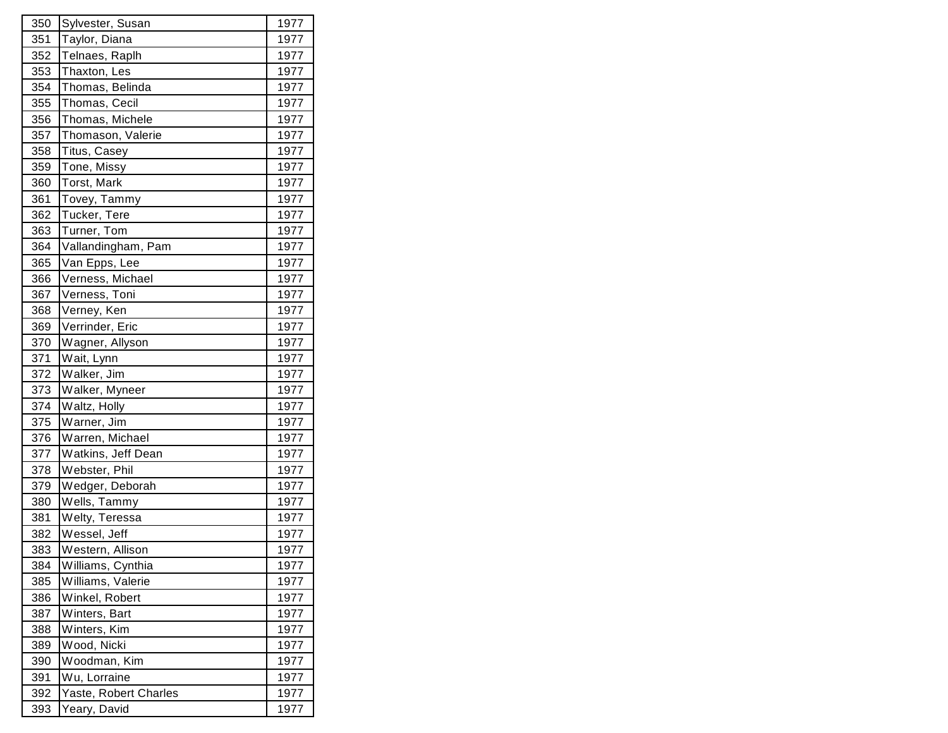| 350 | Sylvester, Susan      | 1977 |
|-----|-----------------------|------|
| 351 | Taylor, Diana         | 1977 |
| 352 | Telnaes, Raplh        | 1977 |
| 353 | Thaxton, Les          | 1977 |
| 354 | Thomas, Belinda       | 1977 |
| 355 | Thomas, Cecil         | 1977 |
| 356 | Thomas, Michele       | 1977 |
| 357 | Thomason, Valerie     | 1977 |
| 358 | Titus, Casey          | 1977 |
| 359 | Tone, Missy           | 1977 |
| 360 | Torst, Mark           | 1977 |
| 361 | Tovey, Tammy          | 1977 |
| 362 | Tucker, Tere          | 1977 |
| 363 | Turner, Tom           | 1977 |
| 364 | Vallandingham, Pam    | 1977 |
| 365 | Van Epps, Lee         | 1977 |
| 366 | Verness, Michael      | 1977 |
| 367 | Verness, Toni         | 1977 |
| 368 | Verney, Ken           | 1977 |
| 369 | Verrinder, Eric       | 1977 |
| 370 | Wagner, Allyson       | 1977 |
| 371 | Wait, Lynn            | 1977 |
| 372 | Walker, Jim           | 1977 |
| 373 | Walker, Myneer        | 1977 |
| 374 | Waltz, Holly          | 1977 |
| 375 | Warner, Jim           | 1977 |
| 376 | Warren, Michael       | 1977 |
| 377 | Watkins, Jeff Dean    | 1977 |
| 378 | Webster, Phil         | 1977 |
| 379 | Wedger, Deborah       | 1977 |
| 380 | Wells, Tammy          | 1977 |
| 381 | Welty, Teressa        | 1977 |
| 382 | Wessel, Jeff          | 1977 |
| 383 | Western, Allison      | 1977 |
| 384 | Williams, Cynthia     | 1977 |
| 385 | Williams, Valerie     | 1977 |
| 386 | Winkel, Robert        | 1977 |
| 387 | Winters, Bart         | 1977 |
| 388 | Winters, Kim          | 1977 |
| 389 | Wood, Nicki           | 1977 |
| 390 | Woodman, Kim          | 1977 |
| 391 | Wu, Lorraine          | 1977 |
| 392 | Yaste, Robert Charles | 1977 |
| 393 | Yeary, David          | 1977 |